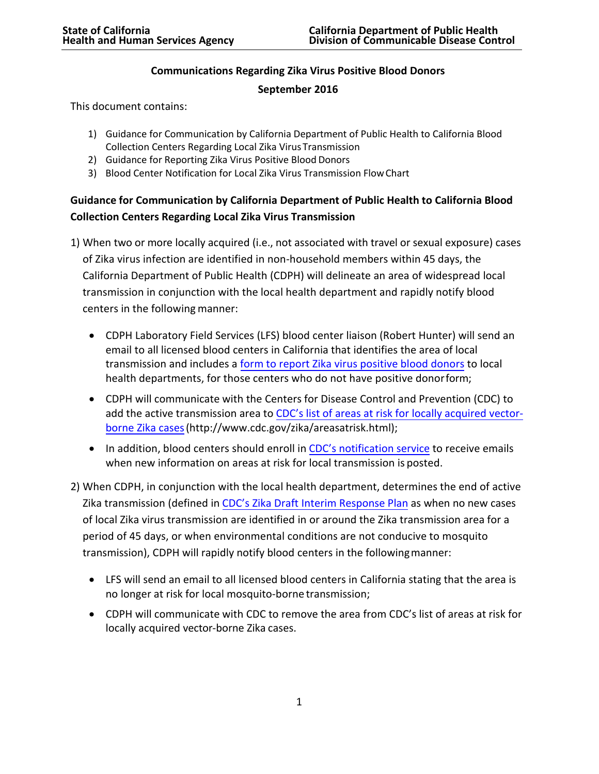## **Communications Regarding Zika Virus Positive Blood Donors**

### **September 2016**

This document contains:

- 1) Guidance for Communication by California Department of Public Health to California Blood Collection Centers Regarding Local Zika Virus Transmission
- 2) Guidance for Reporting Zika Virus Positive Blood Donors
- 3) Blood Center Notification for Local Zika Virus Transmission FlowChart

# **Guidance for Communication by California Department of Public Health to California Blood Collection Centers Regarding Local Zika Virus Transmission**

- 1) When two or more locally acquired (i.e., not associated with travel or sexual exposure) cases of Zika virus infection are identified in non-household members within 45 days, the California Department of Public Health (CDPH) will delineate an area of widespread local transmission in conjunction with the local health department and rapidly notify blood centers in the following manner:
	- CDPH Laboratory Field Services (LFS) blood center liaison (Robert Hunter) will send an email to all licensed blood centers in California that identifies the area of local transmission and includes a form [to report Zika virus positive blood donors](https://www.cdph.ca.gov/Programs/CID/DCDC/CDPH%20Document%20Library/ReportofZikaVirusPositiveBloodDonorForm.PDF) to local health departments, for those centers who do not have positive donorform;
	- CDPH will communicate with the Centers for Disease Control and Prevention (CDC) to add the active transmission area to CDC's list [of areas at risk for locally acquired vector](http://www.cdc.gov/zika/areasatrisk.html)[borne Zika cases\(](http://www.cdc.gov/zika/areasatrisk.html)http://www.cdc.gov/zika/areasatrisk.html);
	- In addition, blood centers should enroll in [CDC's notification service](https://public.govdelivery.com/accounts/USCDC/subscriber/new?topic_id=USCDC_4_2) to receive emails when new information on areas at risk for local transmission is posted.
- 2) When CDPH, in conjunction with the local health department, determines the end of active Zika transmission (defined in [CDC's Zika Draft Interim Response](https://www.cdc.gov/zika/pdfs/zika-draft-interim-conus-plan.pdf) Plan as when no new cases of local Zika virus transmission are identified in or around the Zika transmission area for a period of 45 days, or when environmental conditions are not conducive to mosquito transmission), CDPH will rapidly notify blood centers in the followingmanner:
	- LFS will send an email to all licensed blood centers in California stating that the area is no longer at risk for local mosquito-borne transmission;
	- CDPH will communicate with CDC to remove the area from CDC's list of areas at risk for locally acquired vector-borne Zika cases.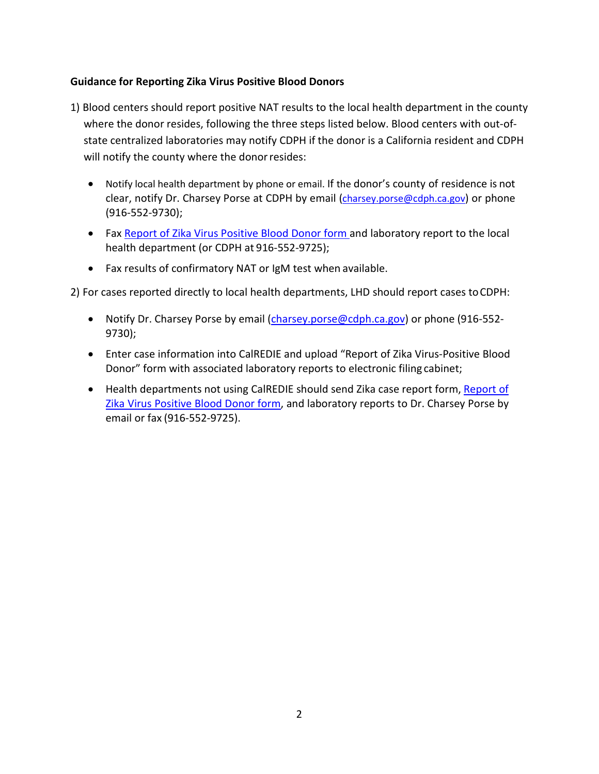## **Guidance for Reporting Zika Virus Positive Blood Donors**

- 1) Blood centers should report positive NAT results to the local health department in the county where the donor resides, following the three steps listed below. Blood centers with out-ofstate centralized laboratories may notify CDPH if the donor is a California resident and CDPH will notify the county where the donor resides:
	- Notify local health department by phone or email. If the donor's county of residence is not clear, notify Dr. Charsey Porse at CDPH by email (*charsey.porse@cdph.ca.gov*) or phone (916-552-9730);
	- Fax [Report of Zika Virus Positive Blood Donor form a](https://www.cdph.ca.gov/Programs/CID/DCDC/CDPH%20Document%20Library/ReportofZikaVirusPositiveBloodDonorForm.PDF)nd laboratory report to the local health department (or CDPH at 916-552-9725);
	- Fax results of confirmatory NAT or IgM test when available.

2) For cases reported directly to local health departments, LHD should report cases toCDPH:

- Notify Dr. Charsey Porse by email [\(charsey.porse@cdph.ca.gov\)](mailto:charsey.porse@cdph.ca.gov) or phone (916-552-9730);
- Enter case information into CalREDIE and upload "Report of Zika Virus-Positive Blood Donor" form with associated laboratory reports to electronic filing cabinet;
- Health departments not using CalREDIE should send Zika case report form, [Report of](https://www.cdph.ca.gov/Programs/CID/DCDC/CDPH%20Document%20Library/ReportofZikaVirusPositiveBloodDonorForm.PDF)  [Zika Virus Positive Blood Donor form,](https://www.cdph.ca.gov/Programs/CID/DCDC/CDPH%20Document%20Library/ReportofZikaVirusPositiveBloodDonorForm.PDF) and laboratory reports to Dr. Charsey Porse by email or fax (916-552-9725).